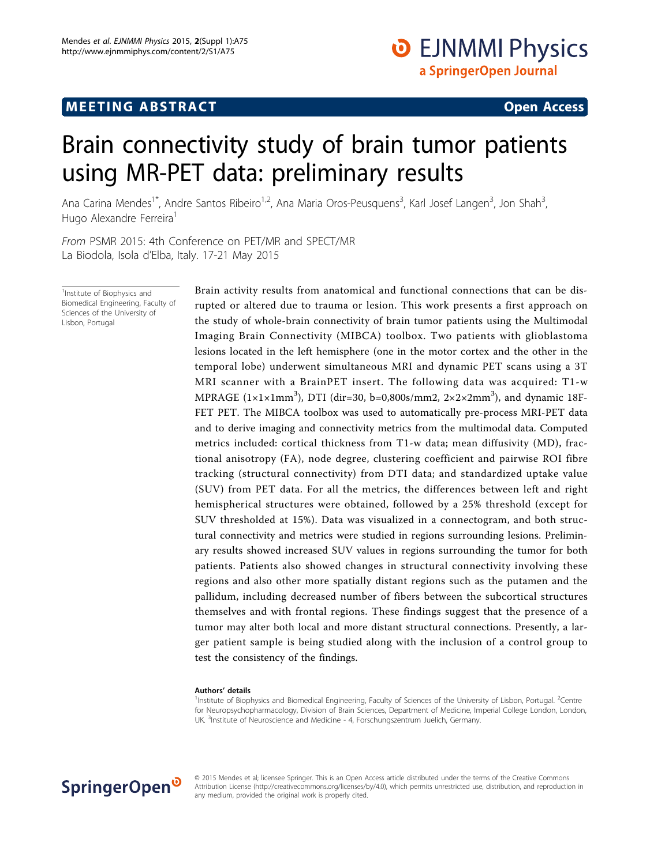# **MEETING ABSTRACT ACCESS**

# Brain connectivity study of brain tumor patients using MR-PET data: preliminary results

Ana Carina Mendes<sup>1\*</sup>, Andre Santos Ribeiro<sup>1,2</sup>, Ana Maria Oros-Peusquens<sup>3</sup>, Karl Josef Langen<sup>3</sup>, Jon Shah<sup>3</sup> , Hugo Alexandre Ferreira<sup>1</sup>

From PSMR 2015: 4th Conference on PET/MR and SPECT/MR La Biodola, Isola d'Elba, Italy. 17-21 May 2015

<sup>1</sup> Institute of Biophysics and Biomedical Engineering, Faculty of Sciences of the University of Lisbon, Portugal

Brain activity results from anatomical and functional connections that can be disrupted or altered due to trauma or lesion. This work presents a first approach on the study of whole-brain connectivity of brain tumor patients using the Multimodal Imaging Brain Connectivity (MIBCA) toolbox. Two patients with glioblastoma lesions located in the left hemisphere (one in the motor cortex and the other in the temporal lobe) underwent simultaneous MRI and dynamic PET scans using a 3T MRI scanner with a BrainPET insert. The following data was acquired: T1-w MPRAGE ( $1 \times 1 \times 1$ mm<sup>3</sup>), DTI (dir=30, b=0,800s/mm2,  $2 \times 2 \times 2$ mm<sup>3</sup>), and dynamic 18F-FET PET. The MIBCA toolbox was used to automatically pre-process MRI-PET data and to derive imaging and connectivity metrics from the multimodal data. Computed metrics included: cortical thickness from T1-w data; mean diffusivity (MD), fractional anisotropy (FA), node degree, clustering coefficient and pairwise ROI fibre tracking (structural connectivity) from DTI data; and standardized uptake value (SUV) from PET data. For all the metrics, the differences between left and right hemispherical structures were obtained, followed by a 25% threshold (except for SUV thresholded at 15%). Data was visualized in a connectogram, and both structural connectivity and metrics were studied in regions surrounding lesions. Preliminary results showed increased SUV values in regions surrounding the tumor for both patients. Patients also showed changes in structural connectivity involving these regions and also other more spatially distant regions such as the putamen and the pallidum, including decreased number of fibers between the subcortical structures themselves and with frontal regions. These findings suggest that the presence of a tumor may alter both local and more distant structural connections. Presently, a larger patient sample is being studied along with the inclusion of a control group to test the consistency of the findings.

### Authors' details <sup>1</sup>

Institute of Biophysics and Biomedical Engineering, Faculty of Sciences of the University of Lisbon, Portugal. <sup>2</sup>Centre for Neuropsychopharmacology, Division of Brain Sciences, Department of Medicine, Imperial College London, London, UK. <sup>3</sup>Institute of Neuroscience and Medicine - 4, Forschungszentrum Juelich, Germany.



© 2015 Mendes et al; licensee Springer. This is an Open Access article distributed under the terms of the Creative Commons Attribution License [\(http://creativecommons.org/licenses/by/4.0](http://creativecommons.org/licenses/by/4.0)), which permits unrestricted use, distribution, and reproduction in any medium, provided the original work is properly cited.